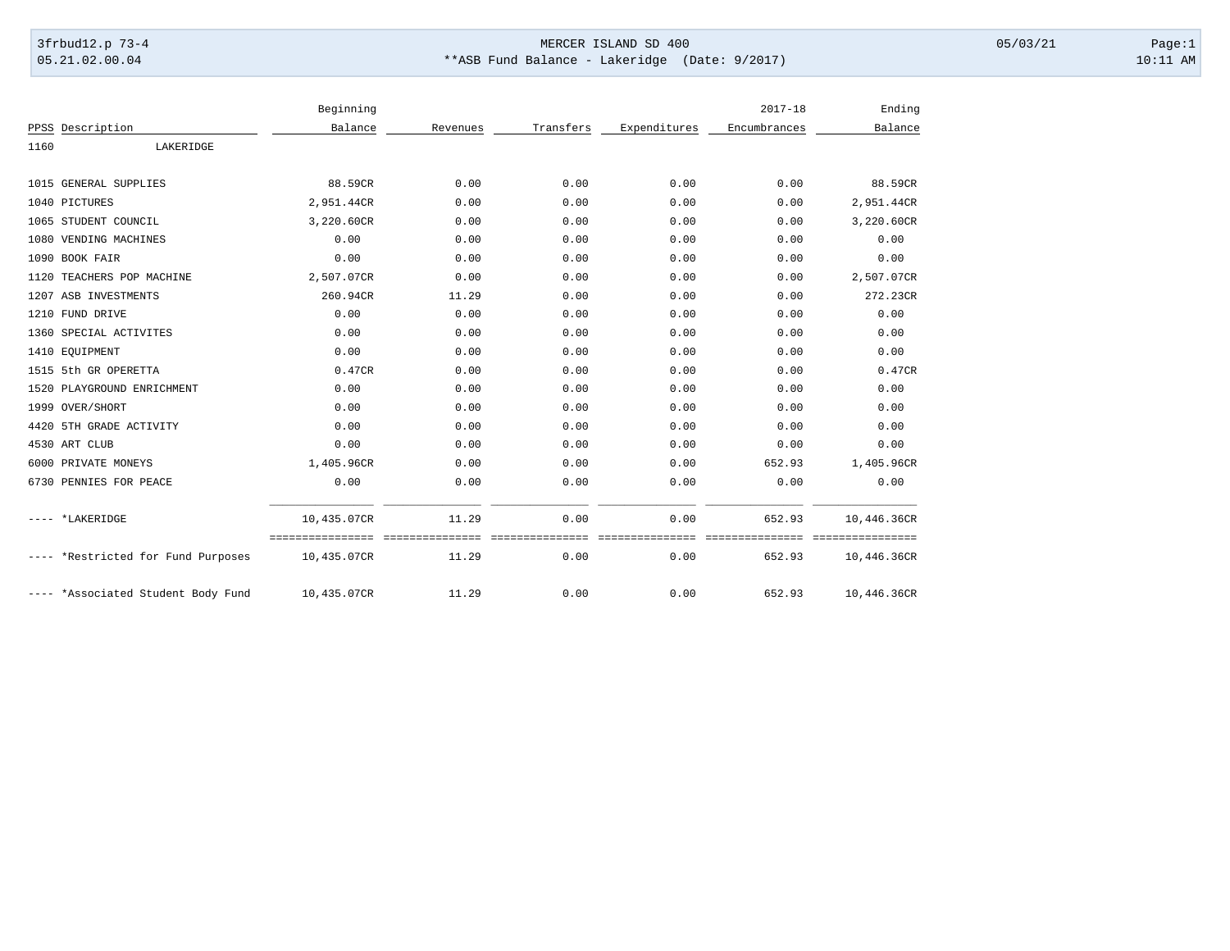## 3frbud12.p 73-4 Page:1 Page:1 05.21.02.00.04 \*\*ASB Fund Balance - Lakeridge (Date: 9/2017) 10:11 AM

|      |                                    | Beginning                       |          |           |              | $2017 - 18$  | Ending                      |
|------|------------------------------------|---------------------------------|----------|-----------|--------------|--------------|-----------------------------|
|      | PPSS Description                   | Balance                         | Revenues | Transfers | Expenditures | Encumbrances | Balance                     |
| 1160 | LAKERIDGE                          |                                 |          |           |              |              |                             |
|      | 1015 GENERAL SUPPLIES              | 88.59CR                         | 0.00     | 0.00      | 0.00         | 0.00         | 88.59CR                     |
|      | 1040 PICTURES                      | 2,951.44CR                      | 0.00     | 0.00      | 0.00         | 0.00         | 2,951.44CR                  |
|      | 1065 STUDENT COUNCIL               | 3,220.60CR                      | 0.00     | 0.00      | 0.00         | 0.00         | 3,220.60CR                  |
|      | 1080 VENDING MACHINES              | 0.00                            | 0.00     | 0.00      | 0.00         | 0.00         | 0.00                        |
|      | 1090 BOOK FAIR                     | 0.00                            | 0.00     | 0.00      | 0.00         | 0.00         | 0.00                        |
|      | 1120 TEACHERS POP MACHINE          | 2,507.07CR                      | 0.00     | 0.00      | 0.00         | 0.00         | 2,507.07CR                  |
|      | 1207 ASB INVESTMENTS               | 260.94CR                        | 11.29    | 0.00      | 0.00         | 0.00         | 272.23CR                    |
|      | 1210 FUND DRIVE                    | 0.00                            | 0.00     | 0.00      | 0.00         | 0.00         | 0.00                        |
|      | 1360 SPECIAL ACTIVITES             | 0.00                            | 0.00     | 0.00      | 0.00         | 0.00         | 0.00                        |
|      | 1410 EOUIPMENT                     | 0.00                            | 0.00     | 0.00      | 0.00         | 0.00         | 0.00                        |
|      | 1515 5th GR OPERETTA               | 0.47CR                          | 0.00     | 0.00      | 0.00         | 0.00         | 0.47CR                      |
|      | 1520 PLAYGROUND ENRICHMENT         | 0.00                            | 0.00     | 0.00      | 0.00         | 0.00         | 0.00                        |
|      | 1999 OVER/SHORT                    | 0.00                            | 0.00     | 0.00      | 0.00         | 0.00         | 0.00                        |
|      | 4420 5TH GRADE ACTIVITY            | 0.00                            | 0.00     | 0.00      | 0.00         | 0.00         | 0.00                        |
|      | 4530 ART CLUB                      | 0.00                            | 0.00     | 0.00      | 0.00         | 0.00         | 0.00                        |
|      | 6000 PRIVATE MONEYS                | 1,405.96CR                      | 0.00     | 0.00      | 0.00         | 652.93       | 1,405.96CR                  |
|      | 6730 PENNIES FOR PEACE             | 0.00                            | 0.00     | 0.00      | 0.00         | 0.00         | 0.00                        |
|      | *LAKERIDGE                         | 10,435.07CR                     | 11.29    | 0.00      | 0.00         | 652.93       | 10,446.36CR                 |
|      | ---- *Restricted for Fund Purposes | ================<br>10,435.07CR | 11.29    | 0.00      | 0.00         | 652.93       | ============<br>10,446.36CR |
|      | *Associated Student Body Fund      | 10,435.07CR                     | 11.29    | 0.00      | 0.00         | 652.93       | 10,446.36CR                 |